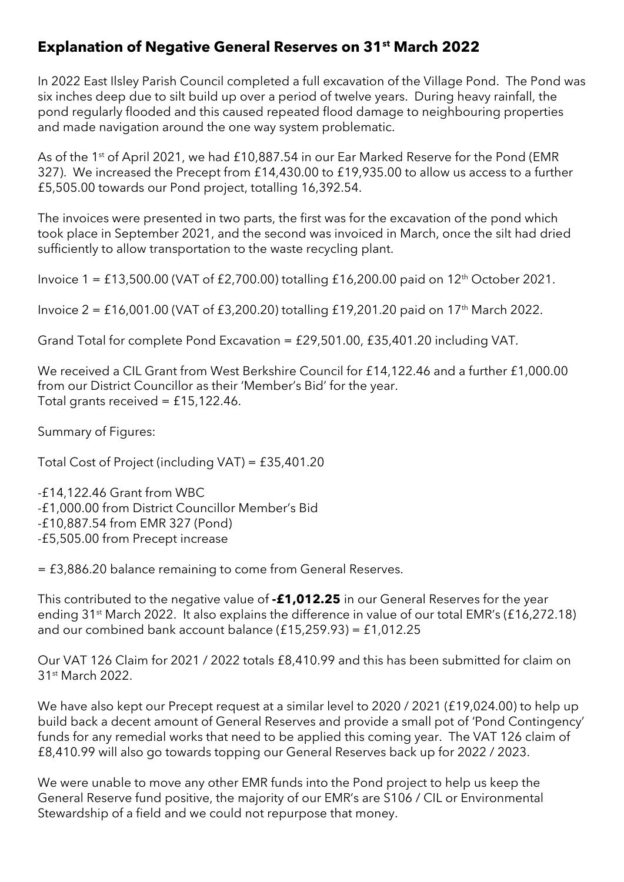## **Explanation of Negative General Reserves on 31st March 2022**

In 2022 East Ilsley Parish Council completed a full excavation of the Village Pond. The Pond was six inches deep due to silt build up over a period of twelve years. During heavy rainfall, the pond regularly flooded and this caused repeated flood damage to neighbouring properties and made navigation around the one way system problematic.

As of the 1<sup>st</sup> of April 2021, we had £10,887.54 in our Ear Marked Reserve for the Pond (EMR 327). We increased the Precept from £14,430.00 to £19,935.00 to allow us access to a further £5,505.00 towards our Pond project, totalling 16,392.54.

The invoices were presented in two parts, the first was for the excavation of the pond which took place in September 2021, and the second was invoiced in March, once the silt had dried sufficiently to allow transportation to the waste recycling plant.

Invoice  $1 = \text{\textsterling}13,500.00$  (VAT of £2,700.00) totalling £16,200.00 paid on  $12^{\text{th}}$  October 2021.

Invoice  $2 = \text{\textsterling}16,001.00$  (VAT of  $\text{\textsterling}3,200.20$ ) totalling  $\text{\textsterling}19,201.20$  paid on  $17^{\text{th}}$  March 2022.

Grand Total for complete Pond Excavation = £29,501.00, £35,401.20 including VAT.

We received a CIL Grant from West Berkshire Council for £14,122.46 and a further £1,000.00 from our District Councillor as their 'Member's Bid' for the year. Total grants received =  $£15,122.46$ .

Summary of Figures:

Total Cost of Project (including VAT) = £35,401.20

-£14,122.46 Grant from WBC -£1,000.00 from District Councillor Member's Bid -£10,887.54 from EMR 327 (Pond) -£5,505.00 from Precept increase

= £3,886.20 balance remaining to come from General Reserves.

This contributed to the negative value of **-£1,012.25** in our General Reserves for the year ending 31st March 2022. It also explains the difference in value of our total EMR's (£16,272.18) and our combined bank account balance (£15,259.93) = £1,012.25

Our VAT 126 Claim for 2021 / 2022 totals £8,410.99 and this has been submitted for claim on 31<sup>st</sup> March 2022.

We have also kept our Precept request at a similar level to 2020 / 2021 (£19,024.00) to help up build back a decent amount of General Reserves and provide a small pot of 'Pond Contingency' funds for any remedial works that need to be applied this coming year. The VAT 126 claim of £8,410.99 will also go towards topping our General Reserves back up for 2022 / 2023.

We were unable to move any other EMR funds into the Pond project to help us keep the General Reserve fund positive, the majority of our EMR's are S106 / CIL or Environmental Stewardship of a field and we could not repurpose that money.